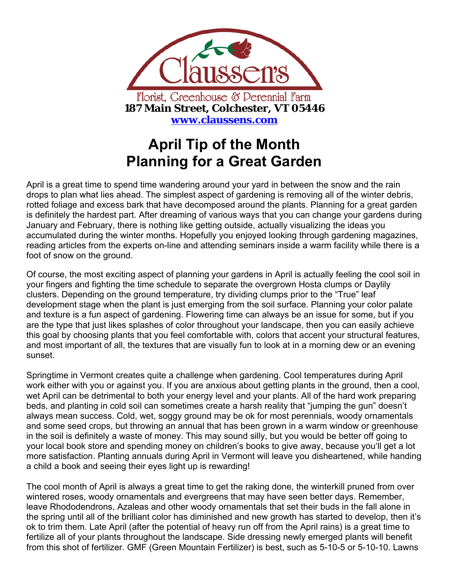

## **April Tip of the Month Planning for a Great Garden**

April is a great time to spend time wandering around your yard in between the snow and the rain drops to plan what lies ahead. The simplest aspect of gardening is removing all of the winter debris, rotted foliage and excess bark that have decomposed around the plants. Planning for a great garden is definitely the hardest part. After dreaming of various ways that you can change your gardens during January and February, there is nothing like getting outside, actually visualizing the ideas you accumulated during the winter months. Hopefully you enjoyed looking through gardening magazines, reading articles from the experts on-line and attending seminars inside a warm facility while there is a foot of snow on the ground.

Of course, the most exciting aspect of planning your gardens in April is actually feeling the cool soil in your fingers and fighting the time schedule to separate the overgrown Hosta clumps or Daylily clusters. Depending on the ground temperature, try dividing clumps prior to the "True" leaf development stage when the plant is just emerging from the soil surface. Planning your color palate and texture is a fun aspect of gardening. Flowering time can always be an issue for some, but if you are the type that just likes splashes of color throughout your landscape, then you can easily achieve this goal by choosing plants that you feel comfortable with, colors that accent your structural features, and most important of all, the textures that are visually fun to look at in a morning dew or an evening sunset.

Springtime in Vermont creates quite a challenge when gardening. Cool temperatures during April work either with you or against you. If you are anxious about getting plants in the ground, then a cool, wet April can be detrimental to both your energy level and your plants. All of the hard work preparing beds, and planting in cold soil can sometimes create a harsh reality that "jumping the gun" doesn't always mean success. Cold, wet, soggy ground may be ok for most perennials, woody ornamentals and some seed crops, but throwing an annual that has been grown in a warm window or greenhouse in the soil is definitely a waste of money. This may sound silly, but you would be better off going to your local book store and spending money on children's books to give away, because you'll get a lot more satisfaction. Planting annuals during April in Vermont will leave you disheartened, while handing a child a book and seeing their eyes light up is rewarding!

The cool month of April is always a great time to get the raking done, the winterkill pruned from over wintered roses, woody ornamentals and evergreens that may have seen better days. Remember, leave Rhododendrons, Azaleas and other woody ornamentals that set their buds in the fall alone in the spring until all of the brilliant color has diminished and new growth has started to develop, then it's ok to trim them. Late April (after the potential of heavy run off from the April rains) is a great time to fertilize all of your plants throughout the landscape. Side dressing newly emerged plants will benefit from this shot of fertilizer. GMF (Green Mountain Fertilizer) is best, such as 5-10-5 or 5-10-10. Lawns